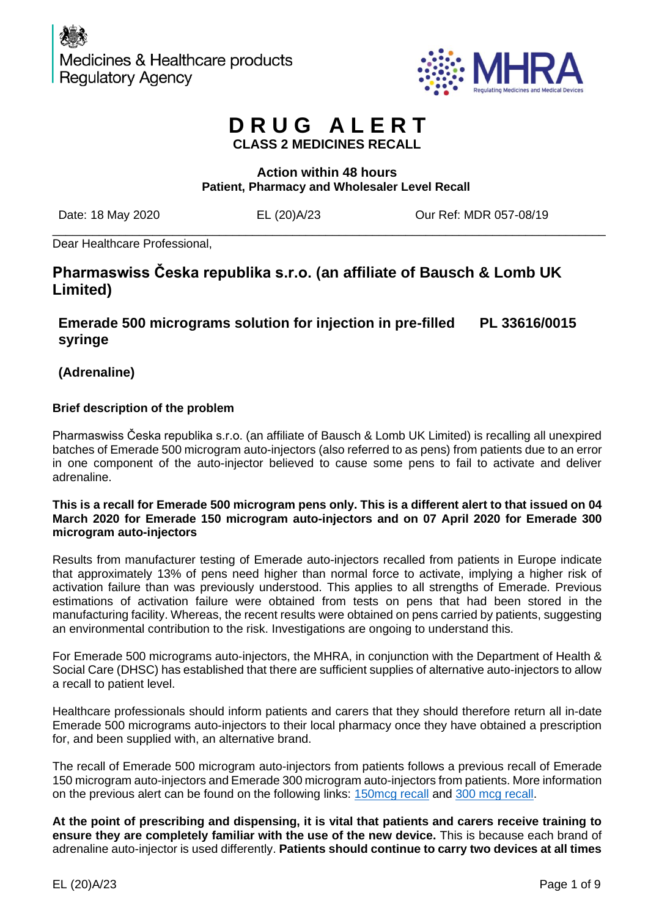



## **D R U G A L E R T CLASS 2 MEDICINES RECALL**

**Action within 48 hours Patient, Pharmacy and Wholesaler Level Recall**

Date: 18 May 2020 EL (20)A/23 Our Ref: MDR 057-08/19

\_\_\_\_\_\_\_\_\_\_\_\_\_\_\_\_\_\_\_\_\_\_\_\_\_\_\_\_\_\_\_\_\_\_\_\_\_\_\_\_\_\_\_\_\_\_\_\_\_\_\_\_\_\_\_\_\_\_\_\_\_\_\_\_\_\_\_\_\_\_\_\_\_\_\_\_\_\_\_\_\_\_\_ Dear Healthcare Professional,

## **Pharmaswiss Česka republika s.r.o. (an affiliate of Bausch & Lomb UK Limited)**

**Emerade 500 micrograms solution for injection in pre-filled syringe PL 33616/0015**

### **(Adrenaline)**

#### **Brief description of the problem**

Pharmaswiss Česka republika s.r.o. (an affiliate of Bausch & Lomb UK Limited) is recalling all unexpired batches of Emerade 500 microgram auto-injectors (also referred to as pens) from patients due to an error in one component of the auto-injector believed to cause some pens to fail to activate and deliver adrenaline.

#### **This is a recall for Emerade 500 microgram pens only. This is a different alert to that issued on 04 March 2020 for Emerade 150 microgram auto-injectors and on 07 April 2020 for Emerade 300 microgram auto-injectors**

Results from manufacturer testing of Emerade auto-injectors recalled from patients in Europe indicate that approximately 13% of pens need higher than normal force to activate, implying a higher risk of activation failure than was previously understood. This applies to all strengths of Emerade. Previous estimations of activation failure were obtained from tests on pens that had been stored in the manufacturing facility. Whereas, the recent results were obtained on pens carried by patients, suggesting an environmental contribution to the risk. Investigations are ongoing to understand this.

For Emerade 500 micrograms auto-injectors, the MHRA, in conjunction with the Department of Health & Social Care (DHSC) has established that there are sufficient supplies of alternative auto-injectors to allow a recall to patient level.

Healthcare professionals should inform patients and carers that they should therefore return all in-date Emerade 500 micrograms auto-injectors to their local pharmacy once they have obtained a prescription for, and been supplied with, an alternative brand.

The recall of Emerade 500 microgram auto-injectors from patients follows a previous recall of Emerade 150 microgram auto-injectors and Emerade 300 microgram auto-injectors from patients. More information on the previous alert can be found on the following links: [150mcg recall](https://www.gov.uk/drug-device-alerts/class-2-medicines-recall-emerade-150-micrograms-solution-for-injection-in-pre-filled-syringe-pl-33616-0013-el-20-a-14) and 300 [mcg recall.](https://www.gov.uk/drug-device-alerts/class-2-medicines-recall-emerade-300-micrograms-solution-for-injection-in-pre-filled-syringe-pl-33616-0014-el-20-a-20)

**At the point of prescribing and dispensing, it is vital that patients and carers receive training to ensure they are completely familiar with the use of the new device.** This is because each brand of adrenaline auto-injector is used differently. **Patients should continue to carry two devices at all times**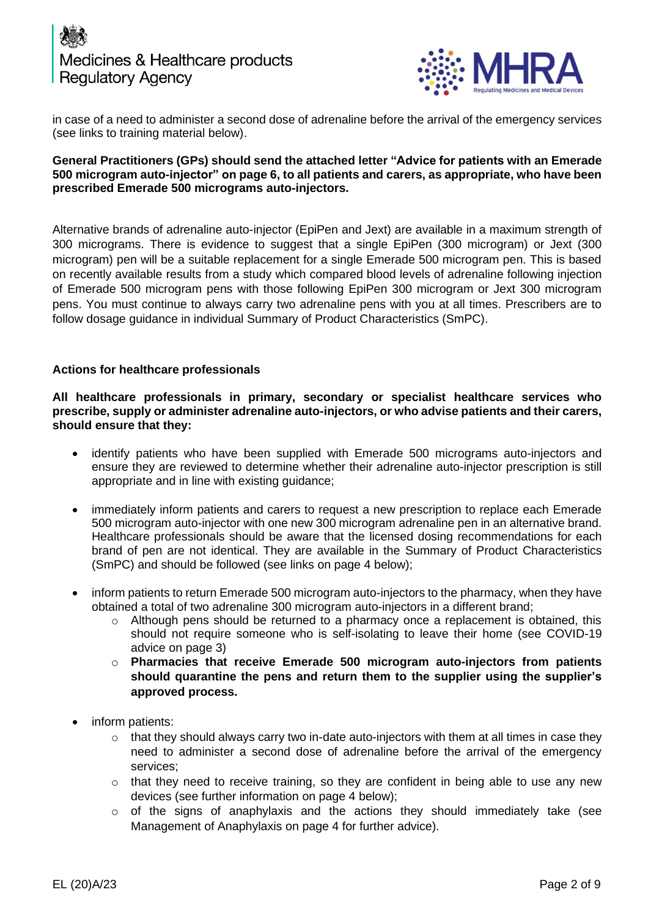



in case of a need to administer a second dose of adrenaline before the arrival of the emergency services (see links to training material below).

#### **General Practitioners (GPs) should send the attached letter "Advice for patients with an Emerade 500 microgram auto-injector" on page 6, to all patients and carers, as appropriate, who have been prescribed Emerade 500 micrograms auto-injectors.**

Alternative brands of adrenaline auto-injector (EpiPen and Jext) are available in a maximum strength of 300 micrograms. There is evidence to suggest that a single EpiPen (300 microgram) or Jext (300 microgram) pen will be a suitable replacement for a single Emerade 500 microgram pen. This is based on recently available results from a study which compared blood levels of adrenaline following injection of Emerade 500 microgram pens with those following EpiPen 300 microgram or Jext 300 microgram pens. You must continue to always carry two adrenaline pens with you at all times. Prescribers are to follow dosage guidance in individual Summary of Product Characteristics (SmPC).

#### **Actions for healthcare professionals**

**All healthcare professionals in primary, secondary or specialist healthcare services who prescribe, supply or administer adrenaline auto-injectors, or who advise patients and their carers, should ensure that they:**

- identify patients who have been supplied with Emerade 500 micrograms auto-injectors and ensure they are reviewed to determine whether their adrenaline auto-injector prescription is still appropriate and in line with existing guidance;
- immediately inform patients and carers to request a new prescription to replace each Emerade 500 microgram auto-injector with one new 300 microgram adrenaline pen in an alternative brand. Healthcare professionals should be aware that the licensed dosing recommendations for each brand of pen are not identical. They are available in the Summary of Product Characteristics (SmPC) and should be followed (see links on page 4 below);
- inform patients to return Emerade 500 microgram auto-injectors to the pharmacy, when they have obtained a total of two adrenaline 300 microgram auto-injectors in a different brand;
	- $\circ$  Although pens should be returned to a pharmacy once a replacement is obtained, this should not require someone who is self-isolating to leave their home (see COVID-19 advice on page 3)
	- o **Pharmacies that receive Emerade 500 microgram auto-injectors from patients should quarantine the pens and return them to the supplier using the supplier's approved process.**
- inform patients:
	- $\circ$  that they should always carry two in-date auto-injectors with them at all times in case they need to administer a second dose of adrenaline before the arrival of the emergency services;
	- $\circ$  that they need to receive training, so they are confident in being able to use any new devices (see further information on page 4 below);
	- o of the signs of anaphylaxis and the actions they should immediately take (see Management of Anaphylaxis on page 4 for further advice).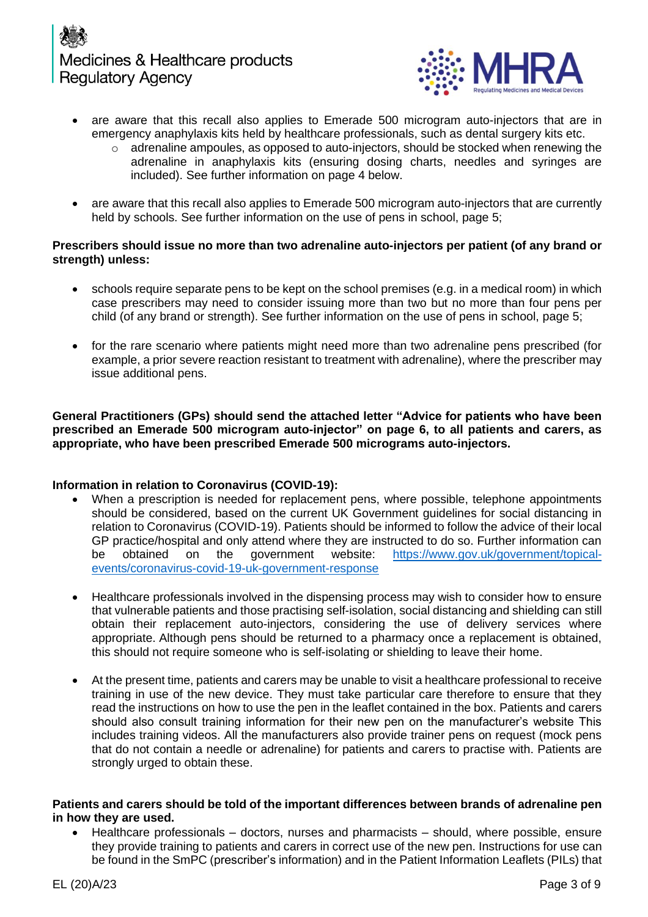



- are aware that this recall also applies to Emerade 500 microgram auto-injectors that are in emergency anaphylaxis kits held by healthcare professionals, such as dental surgery kits etc.
	- o adrenaline ampoules, as opposed to auto-injectors, should be stocked when renewing the adrenaline in anaphylaxis kits (ensuring dosing charts, needles and syringes are included). See further information on page 4 below.
- are aware that this recall also applies to Emerade 500 microgram auto-injectors that are currently held by schools. See further information on the use of pens in school, page 5;

#### **Prescribers should issue no more than two adrenaline auto-injectors per patient (of any brand or strength) unless:**

- schools require separate pens to be kept on the school premises (e.g. in a medical room) in which case prescribers may need to consider issuing more than two but no more than four pens per child (of any brand or strength). See further information on the use of pens in school, page 5;
- for the rare scenario where patients might need more than two adrenaline pens prescribed (for example, a prior severe reaction resistant to treatment with adrenaline), where the prescriber may issue additional pens.

**General Practitioners (GPs) should send the attached letter "Advice for patients who have been prescribed an Emerade 500 microgram auto-injector" on page 6, to all patients and carers, as appropriate, who have been prescribed Emerade 500 micrograms auto-injectors.** 

#### **Information in relation to Coronavirus (COVID-19):**

- When a prescription is needed for replacement pens, where possible, telephone appointments should be considered, based on the current UK Government guidelines for social distancing in relation to Coronavirus (COVID-19). Patients should be informed to follow the advice of their local GP practice/hospital and only attend where they are instructed to do so. Further information can be obtained on the government website: [https://www.gov.uk/government/topical](https://www.gov.uk/government/topical-events/coronavirus-covid-19-uk-government-response)[events/coronavirus-covid-19-uk-government-response](https://www.gov.uk/government/topical-events/coronavirus-covid-19-uk-government-response)
- Healthcare professionals involved in the dispensing process may wish to consider how to ensure that vulnerable patients and those practising self-isolation, social distancing and shielding can still obtain their replacement auto-injectors, considering the use of delivery services where appropriate. Although pens should be returned to a pharmacy once a replacement is obtained, this should not require someone who is self-isolating or shielding to leave their home.
- At the present time, patients and carers may be unable to visit a healthcare professional to receive training in use of the new device. They must take particular care therefore to ensure that they read the instructions on how to use the pen in the leaflet contained in the box. Patients and carers should also consult training information for their new pen on the manufacturer's website This includes training videos. All the manufacturers also provide trainer pens on request (mock pens that do not contain a needle or adrenaline) for patients and carers to practise with. Patients are strongly urged to obtain these.

#### **Patients and carers should be told of the important differences between brands of adrenaline pen in how they are used.**

• Healthcare professionals – doctors, nurses and pharmacists – should, where possible, ensure they provide training to patients and carers in correct use of the new pen. Instructions for use can be found in the SmPC (prescriber's information) and in the Patient Information Leaflets (PILs) that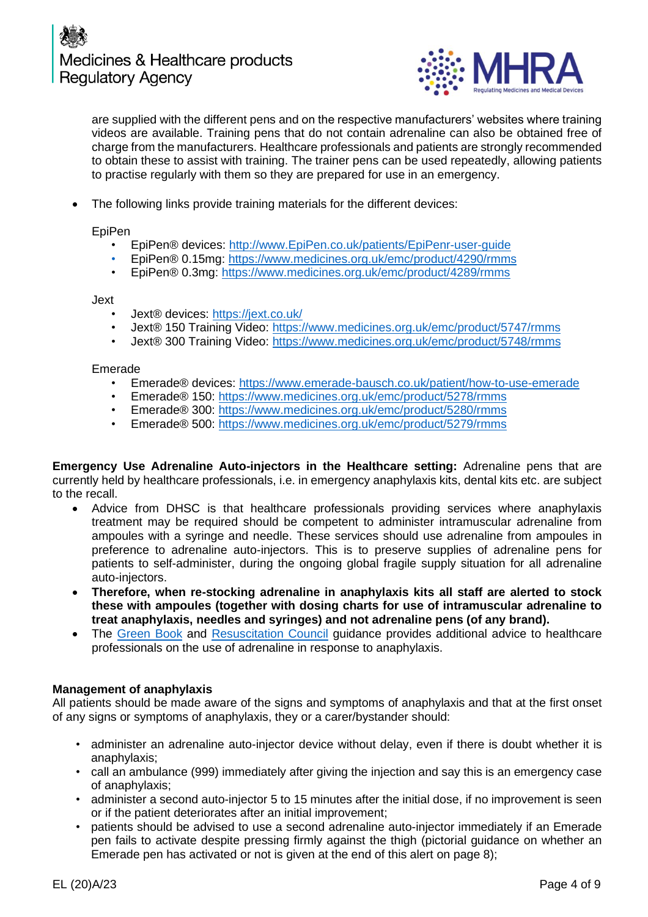



are supplied with the different pens and on the respective manufacturers' websites where training videos are available. Training pens that do not contain adrenaline can also be obtained free of charge from the manufacturers. Healthcare professionals and patients are strongly recommended to obtain these to assist with training. The trainer pens can be used repeatedly, allowing patients to practise regularly with them so they are prepared for use in an emergency.

The following links provide training materials for the different devices:

EpiPen

- EpiPen® devices: [http://www.EpiPen.co.uk/patients/EpiPenr-user-guide](http://www.epipen.co.uk/patients/epipenr-user-guide)
- EpiPen® 0.15mg:<https://www.medicines.org.uk/emc/product/4290/rmms>
- EpiPen® 0.3mg:<https://www.medicines.org.uk/emc/product/4289/rmms>

Jext

- Jext® devices:<https://jext.co.uk/>
- Jext® 150 Training Video:<https://www.medicines.org.uk/emc/product/5747/rmms>
- Jext® 300 Training Video:<https://www.medicines.org.uk/emc/product/5748/rmms>

#### Emerade

- Emerade® devices:<https://www.emerade-bausch.co.uk/patient/how-to-use-emerade>
- Emerade® 150:<https://www.medicines.org.uk/emc/product/5278/rmms>
- Emerade® 300:<https://www.medicines.org.uk/emc/product/5280/rmms>
- Emerade® 500:<https://www.medicines.org.uk/emc/product/5279/rmms>

**Emergency Use Adrenaline Auto-injectors in the Healthcare setting:** Adrenaline pens that are currently held by healthcare professionals, i.e. in emergency anaphylaxis kits, dental kits etc. are subject to the recall.

- Advice from DHSC is that healthcare professionals providing services where anaphylaxis treatment may be required should be competent to administer intramuscular adrenaline from ampoules with a syringe and needle. These services should use adrenaline from ampoules in preference to adrenaline auto-injectors. This is to preserve supplies of adrenaline pens for patients to self-administer, during the ongoing global fragile supply situation for all adrenaline auto-injectors.
- **Therefore, when re-stocking adrenaline in anaphylaxis kits all staff are alerted to stock these with ampoules (together with dosing charts for use of intramuscular adrenaline to treat anaphylaxis, needles and syringes) and not adrenaline pens (of any brand).**
- The [Green Book](https://www.gov.uk/government/collections/immunisation-against-infectious-disease-the-green-book) and [Resuscitation Council](https://www.resus.org.uk/resuscitation-guidelines/) guidance provides additional advice to healthcare professionals on the use of adrenaline in response to anaphylaxis.

#### **Management of anaphylaxis**

All patients should be made aware of the signs and symptoms of anaphylaxis and that at the first onset of any signs or symptoms of anaphylaxis, they or a carer/bystander should:

- administer an adrenaline auto-injector device without delay, even if there is doubt whether it is anaphylaxis;
- call an ambulance (999) immediately after giving the injection and say this is an emergency case of anaphylaxis;
- administer a second auto-injector 5 to 15 minutes after the initial dose, if no improvement is seen or if the patient deteriorates after an initial improvement;
- patients should be advised to use a second adrenaline auto-injector immediately if an Emerade pen fails to activate despite pressing firmly against the thigh (pictorial guidance on whether an Emerade pen has activated or not is given at the end of this alert on page 8);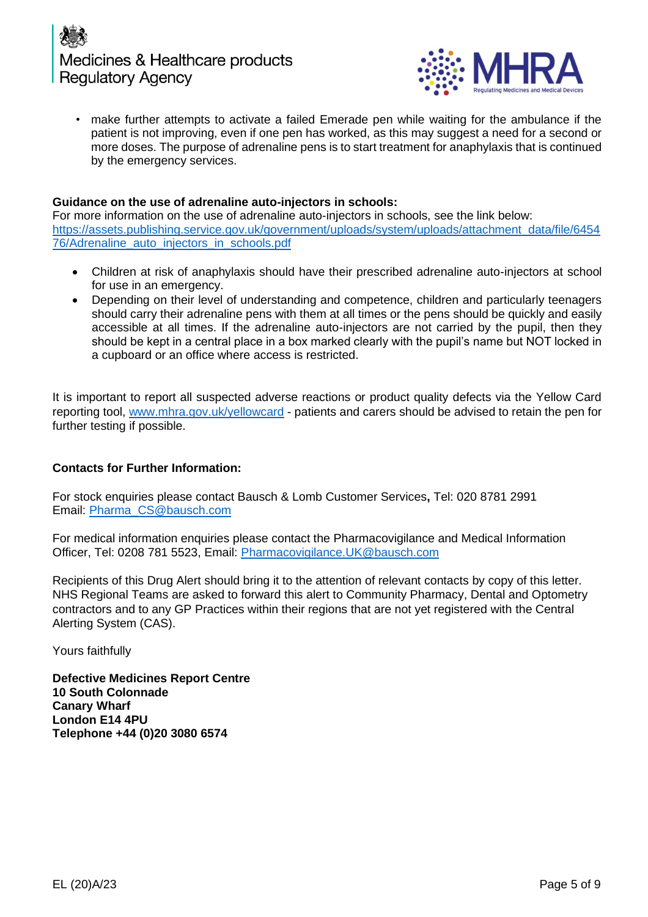



• make further attempts to activate a failed Emerade pen while waiting for the ambulance if the patient is not improving, even if one pen has worked, as this may suggest a need for a second or more doses. The purpose of adrenaline pens is to start treatment for anaphylaxis that is continued by the emergency services.

#### **Guidance on the use of adrenaline auto-injectors in schools:**

For more information on the use of adrenaline auto-injectors in schools, see the link below: [https://assets.publishing.service.gov.uk/government/uploads/system/uploads/attachment\\_data/file/6454](https://assets.publishing.service.gov.uk/government/uploads/system/uploads/attachment_data/file/645476/Adrenaline_auto_injectors_in_schools.pdf) [76/Adrenaline\\_auto\\_injectors\\_in\\_schools.pdf](https://assets.publishing.service.gov.uk/government/uploads/system/uploads/attachment_data/file/645476/Adrenaline_auto_injectors_in_schools.pdf)

- Children at risk of anaphylaxis should have their prescribed adrenaline auto-injectors at school for use in an emergency.
- Depending on their level of understanding and competence, children and particularly teenagers should carry their adrenaline pens with them at all times or the pens should be quickly and easily accessible at all times. If the adrenaline auto-injectors are not carried by the pupil, then they should be kept in a central place in a box marked clearly with the pupil's name but NOT locked in a cupboard or an office where access is restricted.

It is important to report all suspected adverse reactions or product quality defects via the Yellow Card reporting tool, [www.mhra.gov.uk/yellowcard](http://www.mhra.gov.uk/yellowcard) - patients and carers should be advised to retain the pen for further testing if possible.

#### **Contacts for Further Information:**

For stock enquiries please contact Bausch & Lomb Customer Services**,** Tel: 020 8781 2991 Email: [Pharma\\_CS@bausch.com](mailto:Pharma_CS@bausch.com)

For medical information enquiries please contact the Pharmacovigilance and Medical Information Officer, Tel: 0208 781 5523, Email: [Pharmacovigilance.UK@bausch.com](mailto:Pharmacovigilance.UK@bausch.com)

Recipients of this Drug Alert should bring it to the attention of relevant contacts by copy of this letter. NHS Regional Teams are asked to forward this alert to Community Pharmacy, Dental and Optometry contractors and to any GP Practices within their regions that are not yet registered with the Central Alerting System (CAS).

Yours faithfully

**Defective Medicines Report Centre 10 South Colonnade Canary Wharf London E14 4PU Telephone +44 (0)20 3080 6574**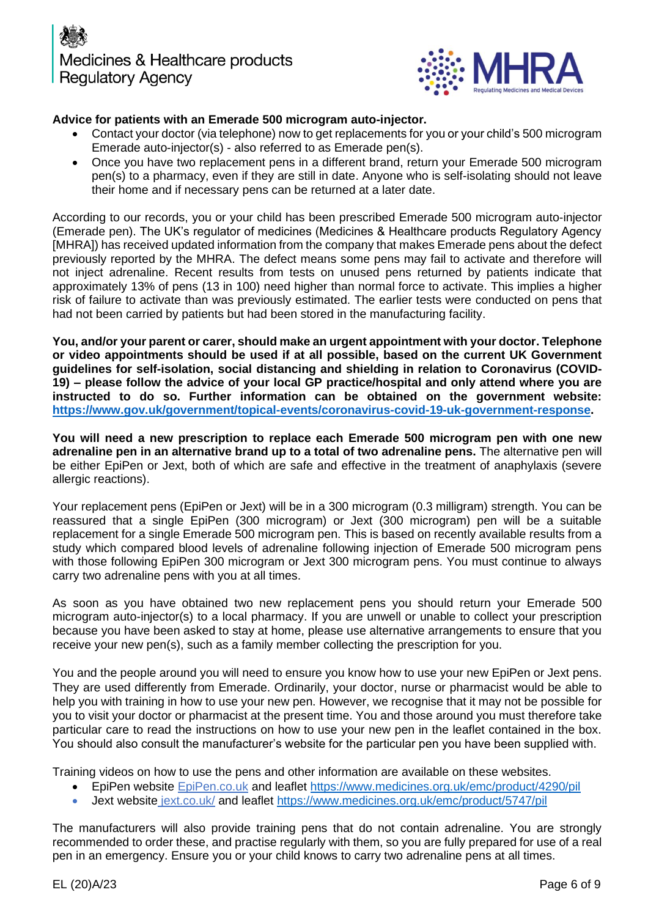



#### **Advice for patients with an Emerade 500 microgram auto-injector.**

- Contact your doctor (via telephone) now to get replacements for you or your child's 500 microgram Emerade auto-injector(s) - also referred to as Emerade pen(s).
- Once you have two replacement pens in a different brand, return your Emerade 500 microgram pen(s) to a pharmacy, even if they are still in date. Anyone who is self-isolating should not leave their home and if necessary pens can be returned at a later date.

According to our records, you or your child has been prescribed Emerade 500 microgram auto-injector (Emerade pen). The UK's regulator of medicines (Medicines & Healthcare products Regulatory Agency [MHRA]) has received updated information from the company that makes Emerade pens about the defect previously reported by the MHRA. The defect means some pens may fail to activate and therefore will not inject adrenaline. Recent results from tests on unused pens returned by patients indicate that approximately 13% of pens (13 in 100) need higher than normal force to activate. This implies a higher risk of failure to activate than was previously estimated. The earlier tests were conducted on pens that had not been carried by patients but had been stored in the manufacturing facility.

**You, and/or your parent or carer, should make an urgent appointment with your doctor. Telephone or video appointments should be used if at all possible, based on the current UK Government guidelines for self-isolation, social distancing and shielding in relation to Coronavirus (COVID-19) – please follow the advice of your local GP practice/hospital and only attend where you are instructed to do so. Further information can be obtained on the government website: [https://www.gov.uk/government/topical-events/coronavirus-covid-19-uk-government-response.](https://www.gov.uk/government/topical-events/coronavirus-covid-19-uk-government-response)**

**You will need a new prescription to replace each Emerade 500 microgram pen with one new adrenaline pen in an alternative brand up to a total of two adrenaline pens.** The alternative pen will be either EpiPen or Jext, both of which are safe and effective in the treatment of anaphylaxis (severe allergic reactions).

Your replacement pens (EpiPen or Jext) will be in a 300 microgram (0.3 milligram) strength. You can be reassured that a single EpiPen (300 microgram) or Jext (300 microgram) pen will be a suitable replacement for a single Emerade 500 microgram pen. This is based on recently available results from a study which compared blood levels of adrenaline following injection of Emerade 500 microgram pens with those following EpiPen 300 microgram or Jext 300 microgram pens. You must continue to always carry two adrenaline pens with you at all times.

As soon as you have obtained two new replacement pens you should return your Emerade 500 microgram auto-injector(s) to a local pharmacy. If you are unwell or unable to collect your prescription because you have been asked to stay at home, please use alternative arrangements to ensure that you receive your new pen(s), such as a family member collecting the prescription for you.

You and the people around you will need to ensure you know how to use your new EpiPen or Jext pens. They are used differently from Emerade. Ordinarily, your doctor, nurse or pharmacist would be able to help you with training in how to use your new pen. However, we recognise that it may not be possible for you to visit your doctor or pharmacist at the present time. You and those around you must therefore take particular care to read the instructions on how to use your new pen in the leaflet contained in the box. You should also consult the manufacturer's website for the particular pen you have been supplied with.

Training videos on how to use the pens and other information are available on these websites.

- EpiPen website [EpiPen.co.uk](http://www.epipen.co.uk/) and leaflet<https://www.medicines.org.uk/emc/product/4290/pil>
- Jext website [jext.co.uk/](https://jext.co.uk/) and leaflet <https://www.medicines.org.uk/emc/product/5747/pil>

The manufacturers will also provide training pens that do not contain adrenaline. You are strongly recommended to order these, and practise regularly with them, so you are fully prepared for use of a real pen in an emergency. Ensure you or your child knows to carry two adrenaline pens at all times.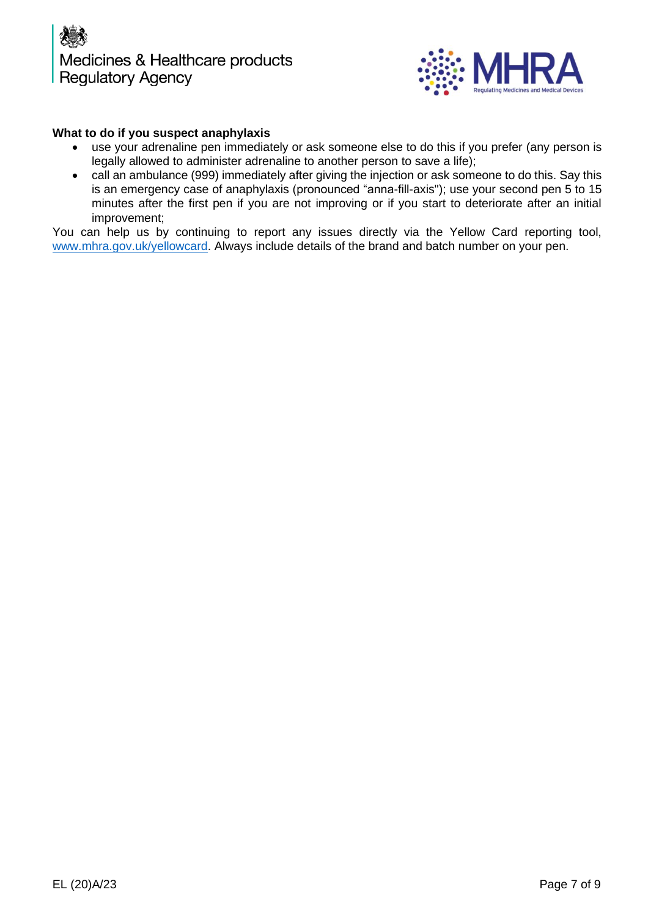



#### **What to do if you suspect anaphylaxis**

- use your adrenaline pen immediately or ask someone else to do this if you prefer (any person is legally allowed to administer adrenaline to another person to save a life);
- call an ambulance (999) immediately after giving the injection or ask someone to do this. Say this is an emergency case of anaphylaxis (pronounced "anna-fill-axis"); use your second pen 5 to 15 minutes after the first pen if you are not improving or if you start to deteriorate after an initial improvement;

You can help us by continuing to report any issues directly via the Yellow Card reporting tool, [www.mhra.gov.uk/yellowcard.](http://www.mhra.gov.uk/yellowcard) Always include details of the brand and batch number on your pen.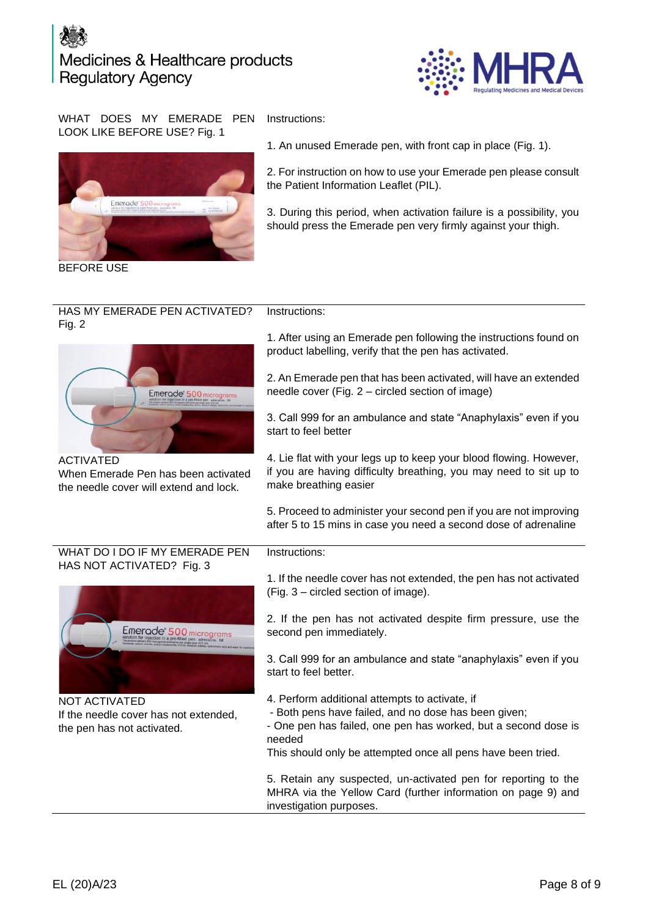# Medicines & Healthcare products **Regulatory Agency**



WHAT DOES MY EMERADE PEN LOOK LIKE BEFORE USE? Fig. 1

Instructions:

Instructions:



BEFORE USE

1. An unused Emerade pen, with front cap in place (Fig. 1).

2. For instruction on how to use your Emerade pen please consult the Patient Information Leaflet (PIL).

3. During this period, when activation failure is a possibility, you should press the Emerade pen very firmly against your thigh.

#### HAS MY EMERADE PEN ACTIVATED? Fig. 2 Instructions:



ACTIVATED When Emerade Pen has been activated the needle cover will extend and lock.

1. After using an Emerade pen following the instructions found on product labelling, verify that the pen has activated.

2. An Emerade pen that has been activated, will have an extended needle cover (Fig. 2 – circled section of image)

3. Call 999 for an ambulance and state "Anaphylaxis" even if you start to feel better

4. Lie flat with your legs up to keep your blood flowing. However, if you are having difficulty breathing, you may need to sit up to make breathing easier

5. Proceed to administer your second pen if you are not improving after 5 to 15 mins in case you need a second dose of adrenaline

#### WHAT DO I DO IF MY EMERADE PEN HAS NOT ACTIVATED? Fig. 3



NOT ACTIVATED If the needle cover has not extended, the pen has not activated.

1. If the needle cover has not extended, the pen has not activated

(Fig. 3 – circled section of image).

2. If the pen has not activated despite firm pressure, use the second pen immediately.

3. Call 999 for an ambulance and state "anaphylaxis" even if you start to feel better.

- 4. Perform additional attempts to activate, if
- Both pens have failed, and no dose has been given;

- One pen has failed, one pen has worked, but a second dose is needed

This should only be attempted once all pens have been tried.

5. Retain any suspected, un-activated pen for reporting to the MHRA via the Yellow Card (further information on page 9) and investigation purposes.